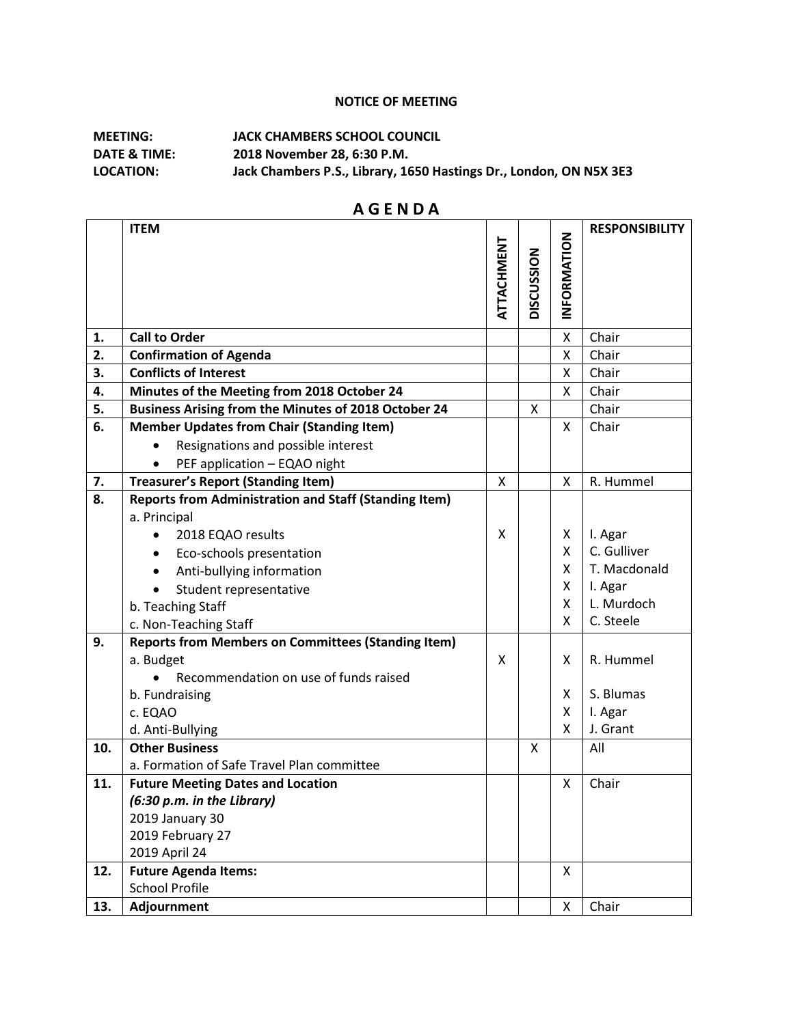## **NOTICE OF MEETING**

## **MEETING: JACK CHAMBERS SCHOOL COUNCIL DATE & TIME: 2018 November 28, 6:30 P.M. LOCATION: Jack Chambers P.S., Library, 1650 Hastings Dr., London, ON N5X 3E3**

|     | <b>ITEM</b>                                                  |            |            |            | <b>RESPONSIBILITY</b> |
|-----|--------------------------------------------------------------|------------|------------|------------|-----------------------|
|     |                                                              |            |            |            |                       |
|     |                                                              |            |            |            |                       |
|     |                                                              |            |            |            |                       |
|     |                                                              | ATTACHMENT | DISCUSSION | NFORMATION |                       |
|     |                                                              |            |            |            |                       |
| 1.  | <b>Call to Order</b>                                         |            |            | Χ          | Chair                 |
| 2.  | <b>Confirmation of Agenda</b>                                |            |            | Χ          | Chair                 |
| 3.  | <b>Conflicts of Interest</b>                                 |            |            | X          | Chair                 |
| 4.  | Minutes of the Meeting from 2018 October 24                  |            |            | X          | Chair                 |
| 5.  | Business Arising from the Minutes of 2018 October 24         |            | X          |            | Chair                 |
| 6.  | <b>Member Updates from Chair (Standing Item)</b>             |            |            | X.         | Chair                 |
|     | Resignations and possible interest                           |            |            |            |                       |
|     | PEF application - EQAO night                                 |            |            |            |                       |
| 7.  | <b>Treasurer's Report (Standing Item)</b>                    | X          |            | X          | R. Hummel             |
| 8.  | <b>Reports from Administration and Staff (Standing Item)</b> |            |            |            |                       |
|     | a. Principal                                                 |            |            |            |                       |
|     | 2018 EQAO results                                            | X          |            | X          | I. Agar               |
|     | Eco-schools presentation                                     |            |            | X.         | C. Gulliver           |
|     | Anti-bullying information                                    |            |            | X          | T. Macdonald          |
|     | Student representative                                       |            |            | X          | I. Agar               |
|     | b. Teaching Staff                                            |            |            | X          | L. Murdoch            |
|     | c. Non-Teaching Staff                                        |            |            | X          | C. Steele             |
| 9.  | <b>Reports from Members on Committees (Standing Item)</b>    |            |            |            |                       |
|     | a. Budget                                                    | X          |            | X          | R. Hummel             |
|     | Recommendation on use of funds raised                        |            |            |            |                       |
|     | b. Fundraising                                               |            |            | X.         | S. Blumas             |
|     | c. EQAO                                                      |            |            | X          | I. Agar               |
|     | d. Anti-Bullying                                             |            |            | X          | J. Grant              |
| 10. | <b>Other Business</b>                                        |            | X          |            | All                   |
|     | a. Formation of Safe Travel Plan committee                   |            |            |            |                       |
| 11. | <b>Future Meeting Dates and Location</b>                     |            |            | x          | Chair                 |
|     | (6:30 p.m. in the Library)                                   |            |            |            |                       |
|     | 2019 January 30                                              |            |            |            |                       |
|     | 2019 February 27                                             |            |            |            |                       |
|     | 2019 April 24                                                |            |            |            |                       |
| 12. | <b>Future Agenda Items:</b>                                  |            |            | X          |                       |
|     | <b>School Profile</b>                                        |            |            |            |                       |
| 13. | Adjournment                                                  |            |            | X          | Chair                 |

## **A G E N D A**